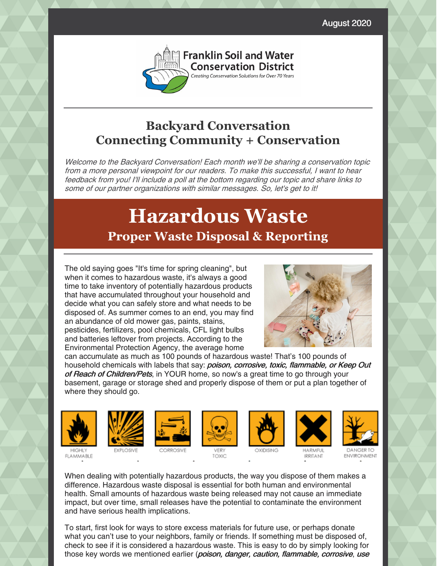August 2020



## **Backyard Conversation Connecting Community + Conservation**

Welcome to the Backyard Conversation! Each month we'll be sharing <sup>a</sup> conservation topic from <sup>a</sup> more personal viewpoint for our readers. To make this successful, I want to hear feedback from you! I'll include <sup>a</sup> poll at the bottom regarding our topic and share links to some of our partner organizations with similar messages. So, let's get to it!

# **Hazardous Waste Proper Waste Disposal & Reporting**

The old saying goes "It's time for spring cleaning", but when it comes to hazardous waste, it's always a good time to take inventory of potentially hazardous products that have accumulated throughout your household and decide what you can safely store and what needs to be disposed of. As summer comes to an end, you may find an abundance of old mower gas, paints, stains, pesticides, fertilizers, pool chemicals, CFL light bulbs and batteries leftover from projects. According to the Environmental Protection Agency, the average home



can accumulate as much as 100 pounds of hazardous waste! That's 100 pounds of household chemicals with labels that say: poison, corrosive, toxic, flammable, or Keep Out of Reach of Children/Pets, in YOUR home, so now's a great time to go through your basement, garage or storage shed and properly dispose of them or put a plan together of where they should go.



**FLAMMABLE** 













**IRRITANT** 

DANGER TO **ENVIRONMENT** 

When dealing with potentially hazardous products, the way you dispose of them makes a difference. Hazardous waste disposal is essential for both human and environmental health. Small amounts of hazardous waste being released may not cause an immediate impact, but over time, small releases have the potential to contaminate the environment and have serious health implications.

To start, first look for ways to store excess materials for future use, or perhaps donate what you can't use to your neighbors, family or friends. If something must be disposed of, check to see if it is considered a hazardous waste. This is easy to do by simply looking for those key words we mentioned earlier (poison, danger, caution, flammable, corrosive, use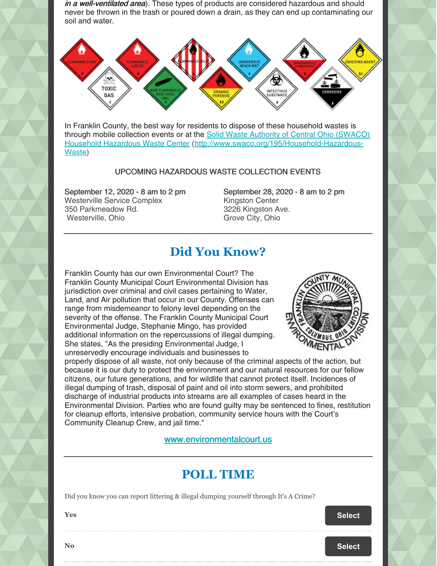in a well-ventilated area). These types of products are considered hazardous and should never be thrown in the trash or poured down a drain, as they can end up contaminating our soil and water.



In Franklin County, the best way for residents to dispose of these household wastes is through mobile collection events or at the Solid Waste Authority of Central Ohio (SWACO) Household Hazardous Waste Center [\(http://www.swaco.org/195/Household-Hazardous-](http://www.swaco.org/195/Household-Hazardous-Waste)Waste)

#### UPCOMING HAZARDOUS WASTE COLLECTION EVENTS

September 12, 2020 - 8 am to 2 pm Westerville Service Complex 350 Parkmeadow Rd. Westerville, Ohio

September 28, 2020 - 8 am to 2 pm Kingston Center 3226 Kingston Ave. Grove City, Ohio

### **Did You Know?**

Franklin County has our own Environmental Court? The Franklin County Municipal Court Environmental Division has jurisdiction over criminal and civil cases pertaining to Water, Land, and Air pollution that occur in our County. Offenses can range from misdemeanor to felony level depending on the severity of the offense. The Franklin County Municipal Court Environmental Judge, Stephanie Mingo, has provided additional information on the repercussions of illegal dumping. She states, "As the presiding Environmental Judge, I unreservedly encourage individuals and businesses to



properly dispose of all waste, not only because of the criminal aspects of the action, but because it is our duty to protect the environment and our natural resources for our fellow citizens, our future generations, and for wildlife that cannot protect itself. Incidences of illegal dumping of trash, disposal of paint and oil into storm sewers, and prohibited discharge of industrial products into streams are all examples of cases heard in the Environmental Division. Parties who are found guilty may be sentenced to fines, restitution for cleanup efforts, intensive probation, community service hours with the Court's Community Cleanup Crew, and jail time."

#### [www.environmentalcourt.us](https://www.environmentalcourt.us/)

### **POLL TIME**

Did you know you can report littering & illegal dumping yourself through It's A Crime?

**Particular [Select](https://campaignlp.constantcontact.com/forms/response?id=J8o3nMZDgQ4xZ25jJV7VbxFmeH3eO8r7aZmYkAmO_7xkYuMD5NabgVvDaTLqSDtwYvn0K-hkh4QEoIQaXtw1uSjVJYZsmMDMSspwYPkLVscPNh8gzIVTSNv8IdsWXOxPeYlPdr1dS1E91CARFy73DTOG-4pfviHuGOUDDgK3JR2JdLchnSbYLMRgT6tUpHLNuzWk_BooTyXFYMefTsr-aw&encVer=1&c=&ch=) Select Select** 

**No [Select](https://campaignlp.constantcontact.com/forms/response?id=J8o3nMZDgQ4xZ25jJV7VbxFmeH3eO8r7aZmYkAmO_7xkYuMD5NabgVvDaTLqSDtwYvn0K-hkh4QEoIQaXtw1uSjVJYZsmMDMSspwYPkLVscPNh8gzIVTSNv8IdsWXOxPeYlPdr1dS1E91CARFy73DTOG-4pfviHuGOUDDgK3JR2JdLchnSbYLMRgT6tUpHLNuzWk_BooTyXXN6S9LkQxSg&encVer=1&c=&ch=)**